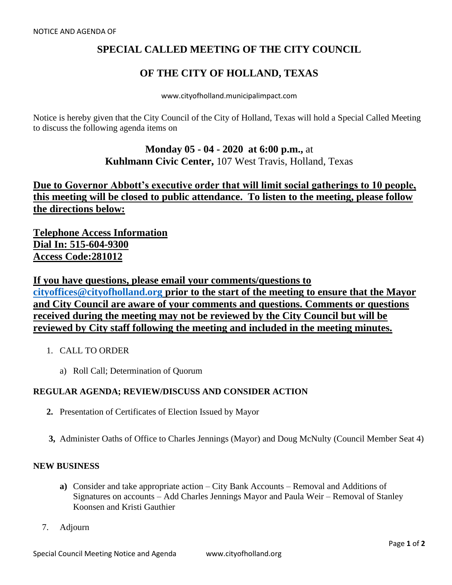## **SPECIAL CALLED MEETING OF THE CITY COUNCIL**

## **OF THE CITY OF HOLLAND, TEXAS**

www.cityofholland.municipalimpact.com

Notice is hereby given that the City Council of the City of Holland, Texas will hold a Special Called Meeting to discuss the following agenda items on

> **Monday 05 - 04 - 2020 at 6:00 p.m.,** at **Kuhlmann Civic Center,** 107 West Travis, Holland, Texas

**Due to Governor Abbott's executive order that will limit social gatherings to 10 people, this meeting will be closed to public attendance. To listen to the meeting, please follow the directions below:**

**Telephone Access Information Dial In: 515-604-9300 Access Code:281012**

**If you have questions, please email your comments/questions to [cityoffices@cityofholland.org](mailto:cityoffices@cityofholland.org) prior to the start of the meeting to ensure that the Mayor and City Council are aware of your comments and questions. Comments or questions received during the meeting may not be reviewed by the City Council but will be reviewed by City staff following the meeting and included in the meeting minutes.**

- 1. CALL TO ORDER
	- a) Roll Call; Determination of Quorum

## **REGULAR AGENDA; REVIEW/DISCUSS AND CONSIDER ACTION**

- **2.** Presentation of Certificates of Election Issued by Mayor
- **3,** Administer Oaths of Office to Charles Jennings (Mayor) and Doug McNulty (Council Member Seat 4)

## **NEW BUSINESS**

- **a)** Consider and take appropriate action City Bank Accounts Removal and Additions of Signatures on accounts – Add Charles Jennings Mayor and Paula Weir – Removal of Stanley Koonsen and Kristi Gauthier
- 7. Adjourn